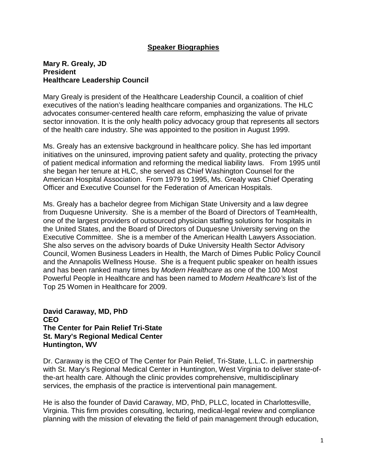## **Speaker Biographies**

## **Mary R. Grealy, JD President Healthcare Leadership Council**

Mary Grealy is president of the Healthcare Leadership Council, a coalition of chief executives of the nation's leading healthcare companies and organizations. The HLC advocates consumer-centered health care reform, emphasizing the value of private sector innovation. It is the only health policy advocacy group that represents all sectors of the health care industry. She was appointed to the position in August 1999.

Ms. Grealy has an extensive background in healthcare policy. She has led important initiatives on the uninsured, improving patient safety and quality, protecting the privacy of patient medical information and reforming the medical liability laws. From 1995 until she began her tenure at HLC, she served as Chief Washington Counsel for the American Hospital Association. From 1979 to 1995, Ms. Grealy was Chief Operating Officer and Executive Counsel for the Federation of American Hospitals.

Ms. Grealy has a bachelor degree from Michigan State University and a law degree from Duquesne University. She is a member of the Board of Directors of TeamHealth, one of the largest providers of outsourced physician staffing solutions for hospitals in the United States, and the Board of Directors of Duquesne University serving on the Executive Committee. She is a member of the American Health Lawyers Association. She also serves on the advisory boards of Duke University Health Sector Advisory Council, Women Business Leaders in Health, the March of Dimes Public Policy Council and the Annapolis Wellness House. She is a frequent public speaker on health issues and has been ranked many times by *Modern Healthcare* as one of the 100 Most Powerful People in Healthcare and has been named to *Modern Healthcare's* list of the Top 25 Women in Healthcare for 2009.

**David Caraway, MD, PhD CEO The Center for Pain Relief Tri-State St. Mary's Regional Medical Center Huntington, WV**

Dr. Caraway is the CEO of The Center for Pain Relief, Tri-State, L.L.C. in partnership with St. Mary's Regional Medical Center in Huntington, West Virginia to deliver state-ofthe-art health care. Although the clinic provides comprehensive, multidisciplinary services, the emphasis of the practice is interventional pain management.

He is also the founder of David Caraway, MD, PhD, PLLC, located in Charlottesville, Virginia. This firm provides consulting, lecturing, medical-legal review and compliance planning with the mission of elevating the field of pain management through education,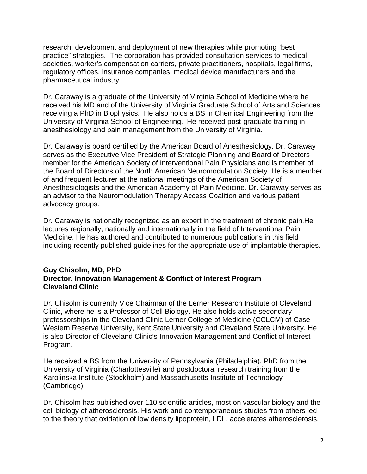research, development and deployment of new therapies while promoting "best practice" strategies. The corporation has provided consultation services to medical societies, worker's compensation carriers, private practitioners, hospitals, legal firms, regulatory offices, insurance companies, medical device manufacturers and the pharmaceutical industry.

Dr. Caraway is a graduate of the University of Virginia School of Medicine where he received his MD and of the University of Virginia Graduate School of Arts and Sciences receiving a PhD in Biophysics. He also holds a BS in Chemical Engineering from the University of Virginia School of Engineering. He received post-graduate training in anesthesiology and pain management from the University of Virginia.

Dr. Caraway is board certified by the American Board of Anesthesiology. Dr. Caraway serves as the Executive Vice President of Strategic Planning and Board of Directors member for the American Society of Interventional Pain Physicians and is member of the Board of Directors of the North American Neuromodulation Society. He is a member of and frequent lecturer at the national meetings of the American Society of Anesthesiologists and the American Academy of Pain Medicine. Dr. Caraway serves as an advisor to the Neuromodulation Therapy Access Coalition and various patient advocacy groups.

Dr. Caraway is nationally recognized as an expert in the treatment of chronic pain.He lectures regionally, nationally and internationally in the field of Interventional Pain Medicine. He has authored and contributed to numerous publications in this field including recently published guidelines for the appropriate use of implantable therapies.

## **Guy Chisolm, MD, PhD Director, Innovation Management & Conflict of Interest Program Cleveland Clinic**

Dr. Chisolm is currently Vice Chairman of the Lerner Research Institute of Cleveland Clinic, where he is a Professor of Cell Biology. He also holds active secondary professorships in the Cleveland Clinic Lerner College of Medicine (CCLCM) of Case Western Reserve University, Kent State University and Cleveland State University. He is also Director of Cleveland Clinic's Innovation Management and Conflict of Interest Program.

He received a BS from the University of Pennsylvania (Philadelphia), PhD from the University of Virginia (Charlottesville) and postdoctoral research training from the Karolinska Institute (Stockholm) and Massachusetts Institute of Technology (Cambridge).

Dr. Chisolm has published over 110 scientific articles, most on vascular biology and the cell biology of atherosclerosis. His work and contemporaneous studies from others led to the theory that oxidation of low density lipoprotein, LDL, accelerates atherosclerosis.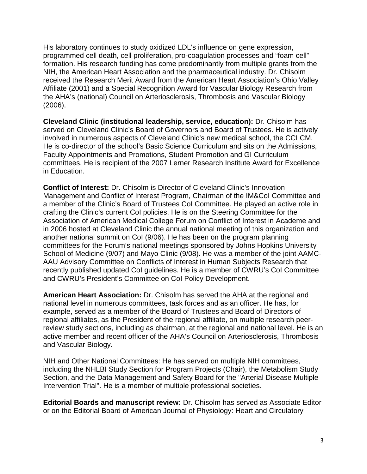His laboratory continues to study oxidized LDL's influence on gene expression, programmed cell death, cell proliferation, pro-coagulation processes and "foam cell" formation. His research funding has come predominantly from multiple grants from the NIH, the American Heart Association and the pharmaceutical industry. Dr. Chisolm received the Research Merit Award from the American Heart Association's Ohio Valley Affiliate (2001) and a Special Recognition Award for Vascular Biology Research from the AHA's (national) Council on Arteriosclerosis, Thrombosis and Vascular Biology (2006).

**Cleveland Clinic (institutional leadership, service, education):** Dr. Chisolm has served on Cleveland Clinic's Board of Governors and Board of Trustees. He is actively involved in numerous aspects of Cleveland Clinic's new medical school, the CCLCM. He is co-director of the school's Basic Science Curriculum and sits on the Admissions, Faculty Appointments and Promotions, Student Promotion and GI Curriculum committees. He is recipient of the 2007 Lerner Research Institute Award for Excellence in Education.

**Conflict of Interest:** Dr. Chisolm is Director of Cleveland Clinic's Innovation Management and Conflict of Interest Program, Chairman of the IM&CoI Committee and a member of the Clinic's Board of Trustees CoI Committee. He played an active role in crafting the Clinic's current CoI policies. He is on the Steering Committee for the Association of American Medical College Forum on Conflict of Interest in Academe and in 2006 hosted at Cleveland Clinic the annual national meeting of this organization and another national summit on CoI (9/06). He has been on the program planning committees for the Forum's national meetings sponsored by Johns Hopkins University School of Medicine (9/07) and Mayo Clinic (9/08). He was a member of the joint AAMC-AAU Advisory Committee on Conflicts of Interest in Human Subjects Research that recently published updated CoI guidelines. He is a member of CWRU's CoI Committee and CWRU's President's Committee on CoI Policy Development.

**American Heart Association:** Dr. Chisolm has served the AHA at the regional and national level in numerous committees, task forces and as an officer. He has, for example, served as a member of the Board of Trustees and Board of Directors of regional affiliates, as the President of the regional affiliate, on multiple research peerreview study sections, including as chairman, at the regional and national level. He is an active member and recent officer of the AHA's Council on Arteriosclerosis, Thrombosis and Vascular Biology.

NIH and Other National Committees: He has served on multiple NIH committees, including the NHLBI Study Section for Program Projects (Chair), the Metabolism Study Section, and the Data Management and Safety Board for the "Arterial Disease Multiple Intervention Trial". He is a member of multiple professional societies.

**Editorial Boards and manuscript review:** Dr. Chisolm has served as Associate Editor or on the Editorial Board of American Journal of Physiology: Heart and Circulatory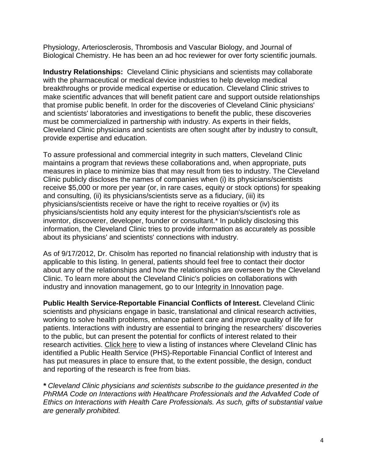Physiology, Arteriosclerosis, Thrombosis and Vascular Biology, and Journal of Biological Chemistry. He has been an ad hoc reviewer for over forty scientific journals.

**Industry Relationships:** Cleveland Clinic physicians and scientists may collaborate with the pharmaceutical or medical device industries to help develop medical breakthroughs or provide medical expertise or education. Cleveland Clinic strives to make scientific advances that will benefit patient care and support outside relationships that promise public benefit. In order for the discoveries of Cleveland Clinic physicians' and scientists' laboratories and investigations to benefit the public, these discoveries must be commercialized in partnership with industry. As experts in their fields, Cleveland Clinic physicians and scientists are often sought after by industry to consult, provide expertise and education.

To assure professional and commercial integrity in such matters, Cleveland Clinic maintains a program that reviews these collaborations and, when appropriate, puts measures in place to minimize bias that may result from ties to industry. The Cleveland Clinic publicly discloses the names of companies when (i) its physicians/scientists receive \$5,000 or more per year (or, in rare cases, equity or stock options) for speaking and consulting, (ii) its physicians/scientists serve as a fiduciary, (iii) its physicians/scientists receive or have the right to receive royalties or (iv) its physicians/scientists hold any equity interest for the physician's/scientist's role as inventor, discoverer, developer, founder or consultant.\* In publicly disclosing this information, the Cleveland Clinic tries to provide information as accurately as possible about its physicians' and scientists' connections with industry.

As of 9/17/2012, Dr. Chisolm has reported no financial relationship with industry that is applicable to this listing. In general, patients should feel free to contact their doctor about any of the relationships and how the relationships are overseen by the Cleveland Clinic. To learn more about the Cleveland Clinic's policies on collaborations with industry and innovation management, go to our [Integrity in Innovation](http://my.clevelandclinic.org/about/overview/integrity.aspx) page.

**Public Health Service-Reportable Financial Conflicts of Interest.** Cleveland Clinic scientists and physicians engage in basic, translational and clinical research activities, working to solve health problems, enhance patient care and improve quality of life for patients. Interactions with industry are essential to bringing the researchers' discoveries to the public, but can present the potential for conflicts of interest related to their research activities. [Click here](http://my.clevelandclinic.org/Documents/Public%20Health%20Service%20Reportable%20FCOI.pdf) to view a listing of instances where Cleveland Clinic has identified a Public Health Service (PHS)-Reportable Financial Conflict of Interest and has put measures in place to ensure that, to the extent possible, the design, conduct and reporting of the research is free from bias.

*\* Cleveland Clinic physicians and scientists subscribe to the guidance presented in the PhRMA Code on Interactions with Healthcare Professionals and the AdvaMed Code of Ethics on Interactions with Health Care Professionals. As such, gifts of substantial value are generally prohibited.*